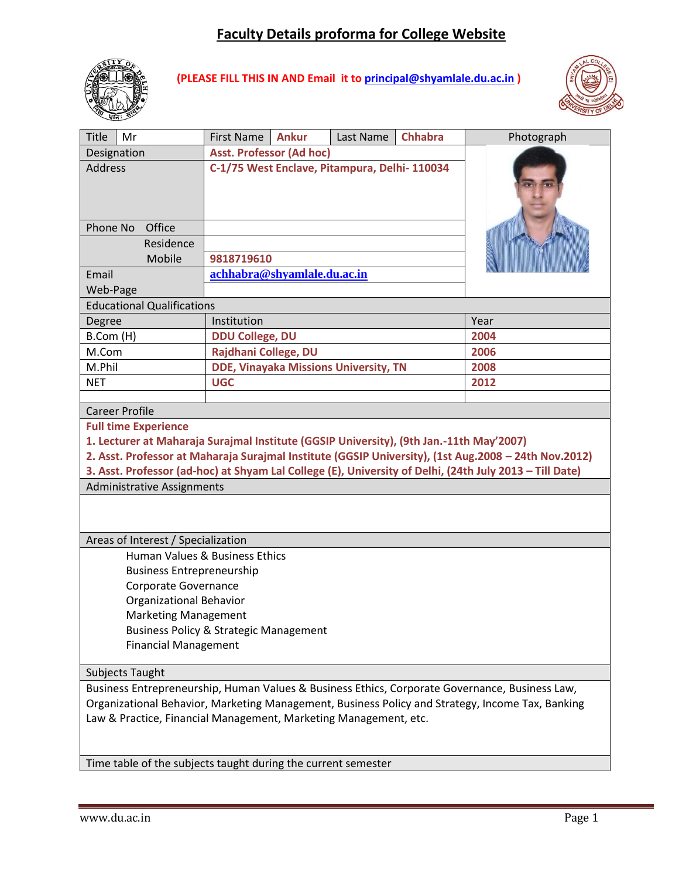# **Faculty Details proforma for College Website**



**(PLEASE FILL THIS IN AND Email it to [principal@shyamlale.du.ac.in](mailto:principal@shyamlale.du.ac.in) )**



| Title<br>Mr                                                                                                                                                                                                                                                                                                | <b>First Name</b><br><b>Ankur</b>             | Last Name | <b>Chhabra</b> | Photograph |  |  |
|------------------------------------------------------------------------------------------------------------------------------------------------------------------------------------------------------------------------------------------------------------------------------------------------------------|-----------------------------------------------|-----------|----------------|------------|--|--|
| Designation                                                                                                                                                                                                                                                                                                | <b>Asst. Professor (Ad hoc)</b>               |           |                |            |  |  |
| <b>Address</b>                                                                                                                                                                                                                                                                                             | C-1/75 West Enclave, Pitampura, Delhi- 110034 |           |                |            |  |  |
| Office<br>Phone No                                                                                                                                                                                                                                                                                         |                                               |           |                |            |  |  |
| Residence                                                                                                                                                                                                                                                                                                  |                                               |           |                |            |  |  |
| Mobile                                                                                                                                                                                                                                                                                                     | 9818719610                                    |           |                |            |  |  |
| Email                                                                                                                                                                                                                                                                                                      | achhabra@shyamlale.du.ac.in                   |           |                |            |  |  |
| Web-Page                                                                                                                                                                                                                                                                                                   |                                               |           |                |            |  |  |
| <b>Educational Qualifications</b>                                                                                                                                                                                                                                                                          |                                               |           |                |            |  |  |
| Degree                                                                                                                                                                                                                                                                                                     | Institution                                   | Year      |                |            |  |  |
| B.Com (H)                                                                                                                                                                                                                                                                                                  | <b>DDU College, DU</b>                        | 2004      |                |            |  |  |
| M.Com                                                                                                                                                                                                                                                                                                      | Rajdhani College, DU                          |           |                | 2006       |  |  |
| M.Phil                                                                                                                                                                                                                                                                                                     | <b>DDE, Vinayaka Missions University, TN</b>  |           |                | 2008       |  |  |
| <b>NET</b>                                                                                                                                                                                                                                                                                                 | <b>UGC</b>                                    |           |                | 2012       |  |  |
|                                                                                                                                                                                                                                                                                                            |                                               |           |                |            |  |  |
| <b>Career Profile</b><br><b>Full time Experience</b>                                                                                                                                                                                                                                                       |                                               |           |                |            |  |  |
| 1. Lecturer at Maharaja Surajmal Institute (GGSIP University), (9th Jan.-11th May'2007)<br>2. Asst. Professor at Maharaja Surajmal Institute (GGSIP University), (1st Aug.2008 - 24th Nov.2012)<br>3. Asst. Professor (ad-hoc) at Shyam Lal College (E), University of Delhi, (24th July 2013 - Till Date) |                                               |           |                |            |  |  |
| <b>Administrative Assignments</b>                                                                                                                                                                                                                                                                          |                                               |           |                |            |  |  |
| Areas of Interest / Specialization                                                                                                                                                                                                                                                                         |                                               |           |                |            |  |  |
|                                                                                                                                                                                                                                                                                                            | Human Values & Business Ethics                |           |                |            |  |  |
| <b>Business Entrepreneurship</b>                                                                                                                                                                                                                                                                           |                                               |           |                |            |  |  |
| Corporate Governance                                                                                                                                                                                                                                                                                       |                                               |           |                |            |  |  |
| Organizational Behavior                                                                                                                                                                                                                                                                                    |                                               |           |                |            |  |  |
| <b>Marketing Management</b>                                                                                                                                                                                                                                                                                |                                               |           |                |            |  |  |
| <b>Business Policy &amp; Strategic Management</b>                                                                                                                                                                                                                                                          |                                               |           |                |            |  |  |
| <b>Financial Management</b>                                                                                                                                                                                                                                                                                |                                               |           |                |            |  |  |
| Subjects Taught                                                                                                                                                                                                                                                                                            |                                               |           |                |            |  |  |
| Business Entrepreneurship, Human Values & Business Ethics, Corporate Governance, Business Law,                                                                                                                                                                                                             |                                               |           |                |            |  |  |
| Organizational Behavior, Marketing Management, Business Policy and Strategy, Income Tax, Banking<br>Law & Practice, Financial Management, Marketing Management, etc.                                                                                                                                       |                                               |           |                |            |  |  |
| Time table of the subjects taught during the current semester                                                                                                                                                                                                                                              |                                               |           |                |            |  |  |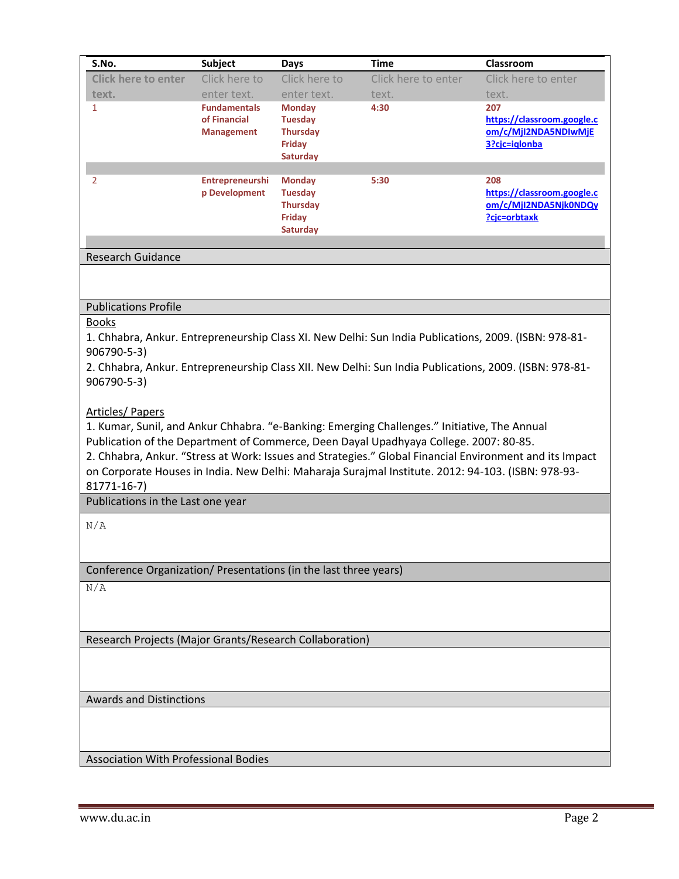| S.No.                      | Subject                                                  | Days                                                                            | <b>Time</b>         | Classroom                                                                  |
|----------------------------|----------------------------------------------------------|---------------------------------------------------------------------------------|---------------------|----------------------------------------------------------------------------|
| <b>Click here to enter</b> | Click here to                                            | Click here to                                                                   | Click here to enter | Click here to enter                                                        |
| text.                      | enter text.                                              | enter text.                                                                     | text.               | text.                                                                      |
| 1                          | <b>Fundamentals</b><br>of Financial<br><b>Management</b> | <b>Monday</b><br><b>Tuesday</b><br><b>Thursday</b><br>Friday<br>Saturday        | 4:30                | 207<br>https://classroom.google.c<br>om/c/Mjl2NDA5NDIwMjE<br>3?cjc=iglonba |
| $\mathcal{P}$              | <b>Entrepreneurshi</b><br>p Development                  | <b>Monday</b><br><b>Tuesday</b><br><b>Thursday</b><br>Friday<br><b>Saturday</b> | 5:30                | 208<br>https://classroom.google.c<br>om/c/MjI2NDA5Njk0NDQy<br>?cic=orbtaxk |
| <b>Research Guidance</b>   |                                                          |                                                                                 |                     |                                                                            |

### Publications Profile

#### Books

1. Chhabra, Ankur. Entrepreneurship Class XI. New Delhi: Sun India Publications, 2009. (ISBN: 978-81- 906790-5-3)

2. Chhabra, Ankur. Entrepreneurship Class XII. New Delhi: Sun India Publications, 2009. (ISBN: 978-81- 906790-5-3)

### Articles/ Papers

1. Kumar, Sunil, and Ankur Chhabra. "e-Banking: Emerging Challenges." Initiative, The Annual Publication of the Department of Commerce, Deen Dayal Upadhyaya College. 2007: 80-85. 2. Chhabra, Ankur. "Stress at Work: Issues and Strategies." Global Financial Environment and its Impact on Corporate Houses in India. New Delhi: Maharaja Surajmal Institute. 2012: 94-103. (ISBN: 978-93-

### 81771-16-7)

Publications in the Last one year

N/A

Conference Organization/ Presentations (in the last three years)

 $\overline{N/A}$ 

Research Projects (Major Grants/Research Collaboration)

Awards and Distinctions

Association With Professional Bodies